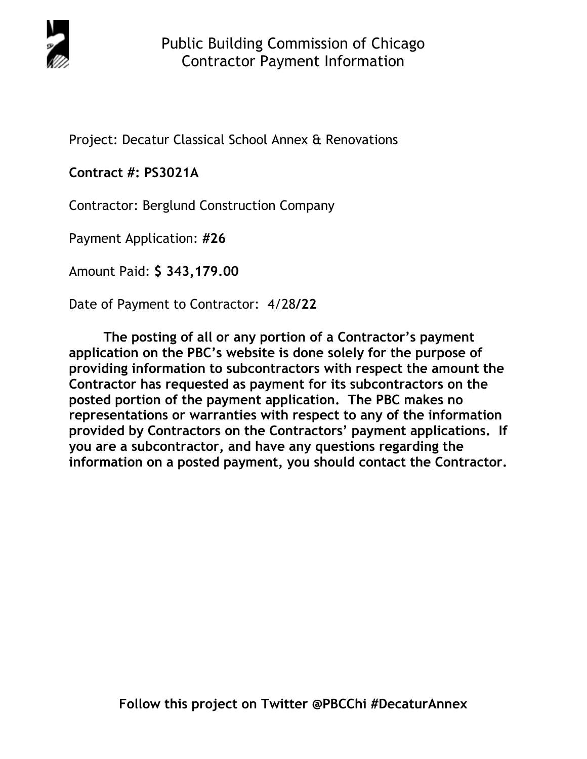

Project: Decatur Classical School Annex & Renovations

## **Contract #: PS3021A**

Contractor: Berglund Construction Company

Payment Application: **#26** 

Amount Paid: **\$ 343,179.00** 

Date of Payment to Contractor: 4/28**/22** 

**The posting of all or any portion of a Contractor's payment application on the PBC's website is done solely for the purpose of providing information to subcontractors with respect the amount the Contractor has requested as payment for its subcontractors on the posted portion of the payment application. The PBC makes no representations or warranties with respect to any of the information provided by Contractors on the Contractors' payment applications. If you are a subcontractor, and have any questions regarding the information on a posted payment, you should contact the Contractor.**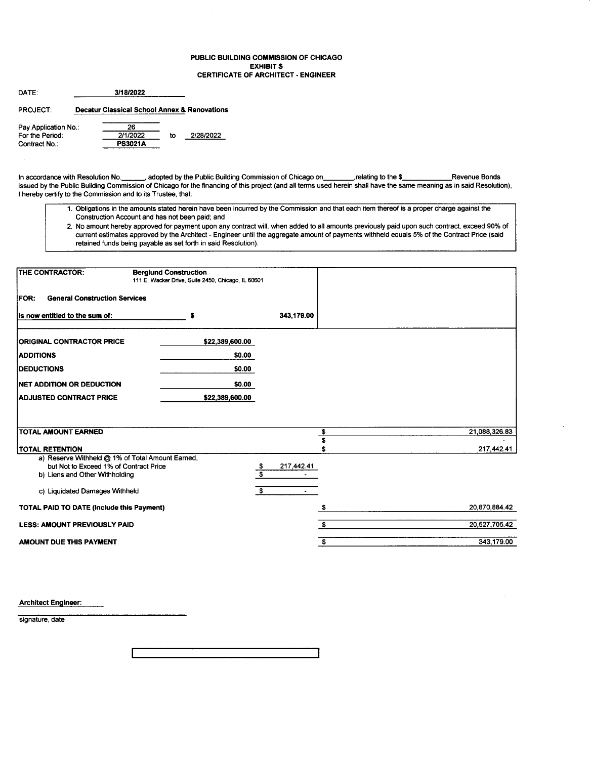#### PUBLIC BUILDING COMMISSION OF CHICAGO **EXHIBIT S CERTIFICATE OF ARCHITECT - ENGINEER**

| DATE:                | 3/18/2022                                               |    |           |
|----------------------|---------------------------------------------------------|----|-----------|
| <b>PROJECT:</b>      | <b>Decatur Classical School Annex &amp; Renovations</b> |    |           |
| Pay Application No.: | 26                                                      |    |           |
| For the Period:      | 2/1/2022                                                | to | 2/28/2022 |
| Contract No.:        | <b>PS3021A</b>                                          |    |           |

In accordance with Resolution No. \_\_, adopted by the Public Building Commission of Chicago on\_\_\_ \_\_, relating to the \$\_\_ Revenue Bonds issued by the Public Building Commission of Chicago for the financing of this project (and all terms used herein shall have the same meaning as in said Resolution), I hereby certify to the Commission and to its Trustee, that:

- 1. Obligations in the amounts stated herein have been incurred by the Commission and that each item thereof is a proper charge against the Construction Account and has not been paid; and
- 2. No amount hereby approved for payment upon any contract will, when added to all amounts previously paid upon such contract, exceed 90% of current estimates approved by the Architect - Engineer until the aggregate amount of payments withheld equals 5% of the Contract Price (said retained funds being payable as set forth in said Resolution).

| THE CONTRACTOR:                                                            | <b>Berglund Construction</b><br>111 E. Wacker Drive, Suite 2450, Chicago, IL 60601 |                                 |               |
|----------------------------------------------------------------------------|------------------------------------------------------------------------------------|---------------------------------|---------------|
| <b>General Construction Services</b><br><b>FOR:</b>                        |                                                                                    |                                 |               |
| Its now entitled to the sum of:                                            | \$                                                                                 | 343,179.00                      |               |
| <b>ORIGINAL CONTRACTOR PRICE</b>                                           | \$22,389,600.00                                                                    |                                 |               |
| <b>ADDITIONS</b>                                                           | \$0.00                                                                             |                                 |               |
| <b>DEDUCTIONS</b>                                                          | \$0.00                                                                             |                                 |               |
| <b>NET ADDITION OR DEDUCTION</b>                                           | \$0.00                                                                             |                                 |               |
| <b>ADJUSTED CONTRACT PRICE</b>                                             | \$22,389,600.00                                                                    |                                 |               |
|                                                                            |                                                                                    |                                 |               |
| <b>TOTAL AMOUNT EARNED</b>                                                 |                                                                                    | \$                              | 21,088,326.83 |
|                                                                            |                                                                                    | s                               |               |
| <b>TOTAL RETENTION</b><br>a) Reserve Withheld @ 1% of Total Amount Earned, |                                                                                    |                                 | 217,442.41    |
| but Not to Exceed 1% of Contract Price                                     |                                                                                    | 217,442.41                      |               |
| b) Liens and Other Withholding                                             |                                                                                    | $\frac{\mathsf{s}}{\mathsf{s}}$ |               |
| c) Liquidated Damages Withheld                                             |                                                                                    | S.                              |               |
| <b>TOTAL PAID TO DATE (Include this Payment)</b>                           |                                                                                    | \$                              | 20,870,884.42 |
| <b>LESS: AMOUNT PREVIOUSLY PAID</b>                                        |                                                                                    | \$                              | 20,527,705.42 |
| AMOUNT DUE THIS PAYMENT                                                    |                                                                                    | \$                              | 343,179.00    |

**Architect Engineer:** 

signature, date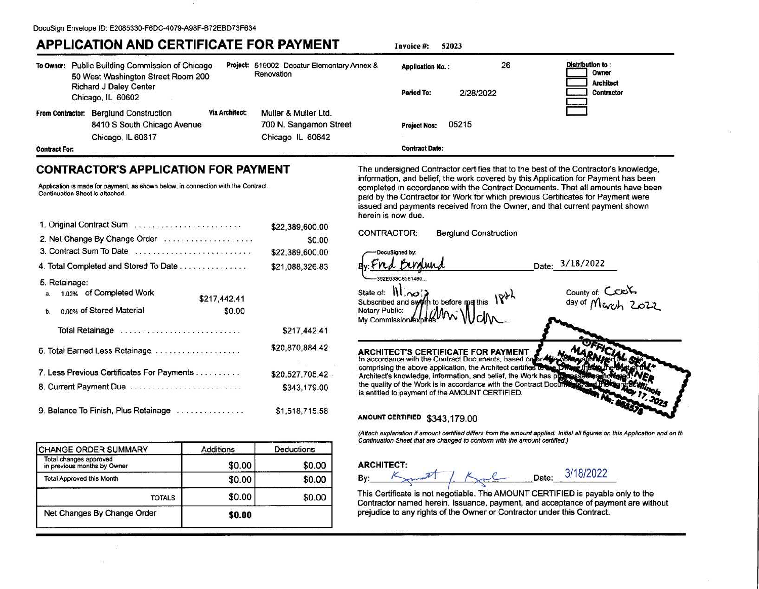## **APPLICATION AND CERTIFICATE FOR PAYMENT**

Invoice #: 52023

|                      | To Owner: Public Building Commission of Chicago<br>50 West Washington Street Room 200 |                       | Project: 519002- Decatur Elementary Annex &<br>Renovation | <b>Application No.:</b> | 26        | Distribution to:<br>Owner             |
|----------------------|---------------------------------------------------------------------------------------|-----------------------|-----------------------------------------------------------|-------------------------|-----------|---------------------------------------|
|                      | Richard J Daley Center<br>Chicago, IL 60602                                           |                       |                                                           | Period To:              | 2/28/2022 | <b>Architect</b><br><b>Contractor</b> |
| From Contractor:     | <b>Berglund Construction</b><br>8410 S South Chicago Avenue                           | <b>Via Architect:</b> | Muller & Muller Ltd.<br>700 N. Sangamon Street            | <b>Project Nos:</b>     | 05215     |                                       |
|                      | Chicago, IL 60617                                                                     |                       | Chicago IL 60642                                          |                         |           |                                       |
| <b>Contract For:</b> |                                                                                       |                       |                                                           | <b>Contract Date:</b>   |           |                                       |

### **CONTRACTOR'S APPLICATION FOR PAYMENT**

Application is made for payment, as shown below, in connection with the Contract. Continuation Sheet is attached.

| 1. Original Contract Sum                                     | \$22,389,600.00 |
|--------------------------------------------------------------|-----------------|
| 2. Net Change By Change Order                                | \$0.00          |
| 3. Contract Sum To Date                                      | \$22,389,600.00 |
| 4. Total Completed and Stored To Date                        | \$21,088,326.83 |
| 5. Retainage:                                                |                 |
| a. 1.03% of Completed Work<br>\$217,442.41                   |                 |
| n on% of Stored Material<br>\$0.00<br>b.                     |                 |
| Total Retainage entertainment contains and a Total Retainage | \$217,442.41    |
| 6. Total Earned Less Retainage                               | \$20,870,884.42 |
| 7. Less Previous Certificates For Payments                   | \$20,527,705.42 |
| 8. Current Payment Due                                       | \$343,179.00    |
| 9. Balance To Finish, Plus Retainage                         | \$1,518,715.58  |

| CHANGE ORDER SUMMARY                                  | <b>Additions</b> | <b>Deductions</b> |
|-------------------------------------------------------|------------------|-------------------|
| Total changes approved<br>in previous months by Owner | \$0.00           | \$0.00            |
| <b>Total Approved this Month</b>                      | \$0.00           | \$0.00            |
| <b>TOTALS</b>                                         | \$0.00           | \$0.00            |
| Net Changes By Change Order                           | \$0.00           |                   |

The undersigned Contractor certifies that to the best of the Contractor's knowledge, information, and belief, the work covered by this Application for Payment has been completed in accordance with the Contract Documents. That all amounts have been paid by the Contractor for Work for which previous Certificates for Payment were issued and payments received from the Owner, and that current payment shown herein is now due.

CONTRACTOR: **Beralund Construction** 

DocuSigned by 392E633C8591480

State of: 11,00 Subscribed and swo h to before me this **Notary Public:** My Commission

County of: Count.<br>day of Mover 2022

Date: 3/18/2022

ARCHITECT'S CERTIFICATE FOR PAYMENT In accordance with the Contract Documents, based on one

comprising the above application, the Architect certifies to Architect's knowledge, information, and belief, the Work has p the quality of the Work is in accordance with the Contract Door is entitled to payment of the AMOUNT CERTIFIED.

#### AMOUNT CERTIFIED \$343,179.00

(Attach explanation if amount certified differs from the amount applied. Initial all figures on this Application and on th Continuation Sheet that are changed to conform with the amount certified.)

#### **ARCHITECT:**

Date: By:

3/18/2022

This Certificate is not negotiable. The AMOUNT CERTIFIED is payable only to the Contractor named herein. Issuance, payment, and acceptance of payment are without prejudice to any rights of the Owner or Contractor under this Contract.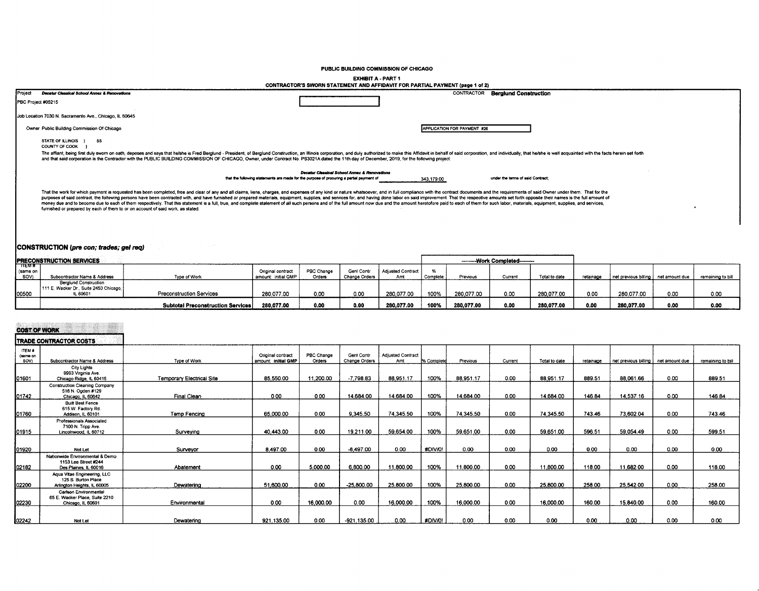PUBLIC BUILDING COMMISSION OF CHICAGO

**EXHIBIT A - PART 1** 

|                                                                                                                                                                                                                                                                                                                                                                                                                                                                                                                                                                                                                                                                                                                                                                                       | CONTRACTOR'S SWORN STATEMENT AND AFFIDAVIT FOR PARTIAL PAYMENT (page 1 of 2)                                                             |                             |                                   |
|---------------------------------------------------------------------------------------------------------------------------------------------------------------------------------------------------------------------------------------------------------------------------------------------------------------------------------------------------------------------------------------------------------------------------------------------------------------------------------------------------------------------------------------------------------------------------------------------------------------------------------------------------------------------------------------------------------------------------------------------------------------------------------------|------------------------------------------------------------------------------------------------------------------------------------------|-----------------------------|-----------------------------------|
| <b>IProject</b><br>Decetur Classical School Annex & Renovations                                                                                                                                                                                                                                                                                                                                                                                                                                                                                                                                                                                                                                                                                                                       |                                                                                                                                          | CONTRACTOR                  | <b>Berglund Construction</b>      |
| PBC Project #05215                                                                                                                                                                                                                                                                                                                                                                                                                                                                                                                                                                                                                                                                                                                                                                    |                                                                                                                                          |                             |                                   |
| Job Location 7030 N. Sacramento Ave., Chicago, IL 60645                                                                                                                                                                                                                                                                                                                                                                                                                                                                                                                                                                                                                                                                                                                               |                                                                                                                                          |                             |                                   |
| Owner Public Building Commission Of Chicago                                                                                                                                                                                                                                                                                                                                                                                                                                                                                                                                                                                                                                                                                                                                           |                                                                                                                                          | APPLICATION FOR PAYMENT #26 |                                   |
| STATE OF ILLINOIS ) SS<br>COUNTY OF COOK                                                                                                                                                                                                                                                                                                                                                                                                                                                                                                                                                                                                                                                                                                                                              |                                                                                                                                          |                             |                                   |
| The affiant, being first duly sworn on oath, deposes and says that he/she is Fred Berglund - President, of Berglund Construction, an Illinois corporation, and duly authorized to make this Affidavit in behalf of said corpor<br>and that said corporation is the Contractor with the PUBLIC BUILDING COMMISSION OF CHICAGO, Owner, under Contract No. PS3021A dated the 11th day of December, 2019, for the following project:                                                                                                                                                                                                                                                                                                                                                      |                                                                                                                                          |                             |                                   |
|                                                                                                                                                                                                                                                                                                                                                                                                                                                                                                                                                                                                                                                                                                                                                                                       | Decetur Classical School Annex & Renovations<br>that the following statements are made for the purpose of procuring a partial payment of | 343,179.00                  | under the terms of said Contract: |
| That the work for which payment is requested has been completed, free and clear of any and all claims, liens, charges, and expenses of any kind or nature whatsoever, and in full compliance with the contract documents and t<br>purposes of said contract, the following persons have been contracted with, and have furnished or prepared materials, equipment, supplies, and services for, and having done labor on said improvement. That the respective am<br>money due and to become due to each of them respectively. That this statement is a full, true, and complete statement of all such persons and of the full amount now due and the amount heretofore paid to each of them for su<br>furnished or prepared by each of them to or on account of said work, as stated: |                                                                                                                                          |                             |                                   |
|                                                                                                                                                                                                                                                                                                                                                                                                                                                                                                                                                                                                                                                                                                                                                                                       |                                                                                                                                          |                             |                                   |

#### CONSTRUCTION (pre con; trades; gel req)

|                              | <b>IPRECONSTRUCTION SERVICES</b>                                                  |                                   | ---------Work Completed---------         |                      |                             |                                 |          |            |         |               |           |                                       |      |                   |
|------------------------------|-----------------------------------------------------------------------------------|-----------------------------------|------------------------------------------|----------------------|-----------------------------|---------------------------------|----------|------------|---------|---------------|-----------|---------------------------------------|------|-------------------|
| ⊤गा⊟ल ≉<br>I (same on<br>SOV | Subcontractor Name & Address                                                      | Type of Work                      | Original contract<br>amount: initial GMP | PBC Change<br>Orders | Geni Contr<br>Change Orders | <b>Adjusted Contract</b><br>Amt | Complete | Previous   | Current | Total to date | retainage | net previous billing   net amount due |      | remaining to bill |
| 00500                        | <b>Berglund Construction</b><br>1111 E. Wacker Dr., Suite 2450 Chicago.<br>L 6060 | Preconstruction Services          | 280.077.00                               | 0.00                 | 0.00                        | 280.077.00                      | 100%     | 280.077.00 | 0.00    | 280.077.00    | 0.00      | 280.077.00                            | 0.00 | 0.00              |
|                              |                                                                                   | Subtotal Preconstruction Services | 280.077.00                               | 0.00                 | 0.00                        | 280.077.00                      | 100%     | 280.077.00 | 0.00    | 280.077.00    | 0.00      | 280.077.00                            | 0.00 | 0.00              |

| <b>COST OF WORK</b>        |                                                                                   |                           |                                          |                      |                                    |                                 |            |           |         |                |           |                                       |      |                   |
|----------------------------|-----------------------------------------------------------------------------------|---------------------------|------------------------------------------|----------------------|------------------------------------|---------------------------------|------------|-----------|---------|----------------|-----------|---------------------------------------|------|-------------------|
|                            | TRADE CONTRACTOR COSTS                                                            |                           |                                          |                      |                                    |                                 |            |           |         |                |           |                                       |      |                   |
| ITEM #<br>(same on<br>SOV) | Subcontractor Name & Address                                                      | Type of Work              | Original contract<br>amount: initial GMP | PBC Change<br>Orders | Gent Contr<br><b>Change Orders</b> | <b>Adjusted Contract</b><br>Amt | % Complete | Previous  | Current | Total to date  | retainage | net previous billing   net amount due |      | remaining to bill |
| 01601                      | City Lights<br>9993 Virginia Ave.<br>Chicago Ridge, IL 60415                      | Temporary Electrical Site | 85.550.00                                | 11.200.00            | $-7.798.83$                        | 88.951.17                       | 100%       | 88,951.17 | 0.00    | 88.951.17      | 889.51    | 88.061.66                             | 0.00 | 889.51            |
| 01742                      | <b>Construction Cleaning Company</b><br>516 N. Ogden #129<br>Chicago, IL 60642    | Final Clean               | 0.00                                     | 0.00                 | 14.684.00                          | 14,684.00                       | 100%       | 14,684.00 | 0.00    | 14,684.00      | 146.84    | 14,537.16                             | 0.00 | 146.84            |
| 01760                      | <b>Built Best Fence</b><br>615 W. Factory Rd.<br>Addison, IL 60101                | <b>Temp Fencing</b>       | 65,000.00                                | 0.00                 | 9,345.50                           | 74.345.50                       | 100%       | 74.345.50 | 0.00    | 74,345.50      | 743.46    | 73,602.04                             | 0.00 | 743.46            |
| 01915                      | Professionals Associated<br>7100 N. Tripp Ave.<br>Lincolnwood, IL 60712           | Surveying                 | 40,443.00                                | 0.00                 | 19,211.00                          | 59,654.00                       | 100%       | 59.651.00 | 0.00    | 59,651.00      | 596.51    | 59,054.49                             | 0.00 | 599.51            |
| 01920                      | Not Let                                                                           | Survevor                  | 8,497.00                                 | 0.00                 | $-8.497.00$                        | 0.00                            | #DIV/0!    | 0.00      | 0.00    | 0.00           | 0.00      | 0.00                                  | 0.00 | 0.00              |
| 02182                      | Nationwide Environmental & Demo<br>1153 Lee Street #244<br>Des Plaines. IL 60016  | Abatement                 | 0.00                                     | 5,000.00             | 6,800.00                           | 11,800.00                       | 100%       | 11,800.00 | 0.00    | 11,800.00      | 118.00    | 11,682.00                             | 0.00 | 118.00            |
| 02200                      | Agua Vitae Engineering, LLC<br>125 S. Burton Place<br>Arlington Heights, iL 60005 | Dewatering                | 51,600.00                                | 0.00                 | $-25,800.00$                       | 25,800.00                       | 100%       | 25,800.00 | 0.00    | 25,800.00      | 258.00    | 25,542.00                             | 0.00 | 258.00            |
| 02230                      | Carlson Environmental<br>65 E. Wacker Place, Suite 2210<br>Chicago, IL 60601      | Environmental             | 0.00                                     | 16,000.00            | 0.00                               | 16,000.00                       | 100%       | 16,000.00 | 0.00    | 16,000.00      | 160.00    | 15,840.00                             | 0.00 | 160.00            |
| ln2242                     | Not Let                                                                           | Dewatering                | 921 135 00                               | 0.00                 | $-921, 135, 00$                    | 0.00                            | #DIV/0!    | 0.00      | n nn    | 0 <sub>m</sub> | 0.00      | o oo                                  | ററ   | റന                |